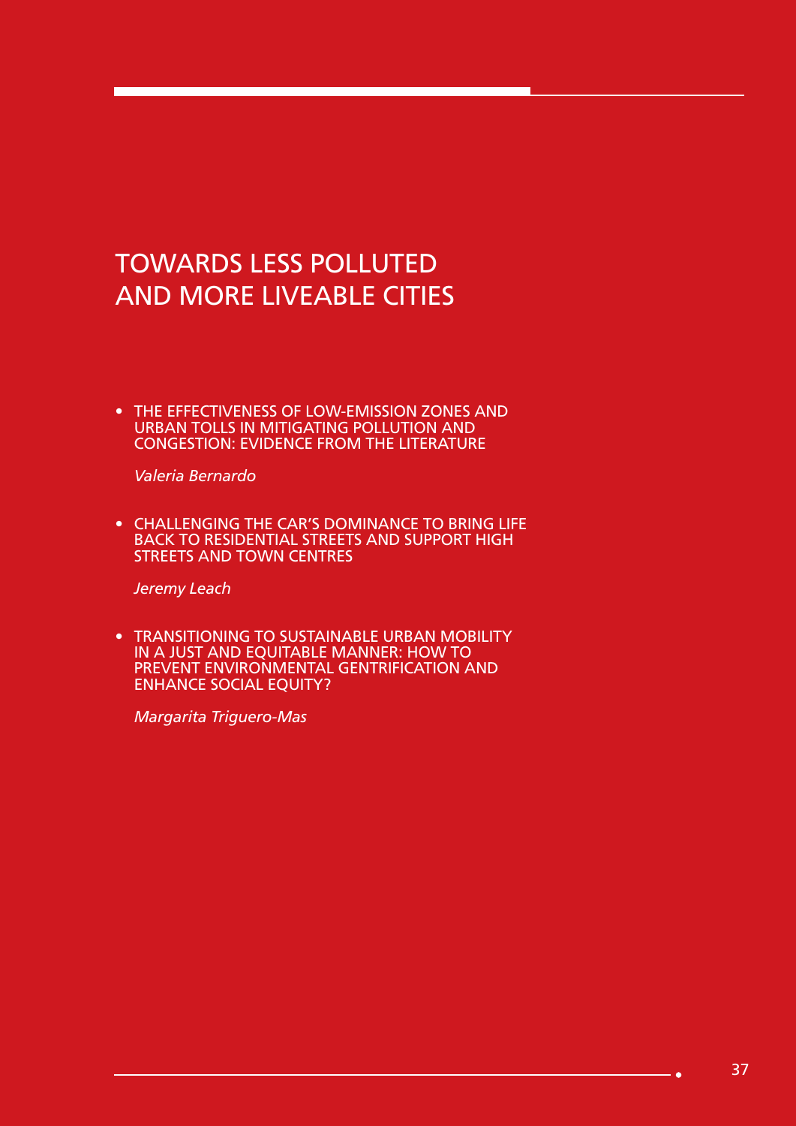## TOWARDS LESS POLLUTED AND MORE LIVEABLE CITIES

• THE EFFECTIVENESS OF LOW-EMISSION ZONES AND URBAN TOLLS IN MITIGATING POLLUTION AND CONGESTION: EVIDENCE FROM THE LITERATURE

*Valeria Bernardo* 

• CHALLENGING THE CAR'S DOMINANCE TO BRING LIFE BACK TO RESIDENTIAL STREETS AND SUPPORT HIGH STREETS AND TOWN CENTRES

*Jeremy Leach* 

• TRANSITIONING TO SUSTAINABLE URBAN MOBILITY IN A JUST AND EQUITABLE MANNER: HOW TO PREVENT ENVIRONMENTAL GENTRIFICATION AND ENHANCE SOCIAL EQUITY?

*Margarita Triguero-Mas*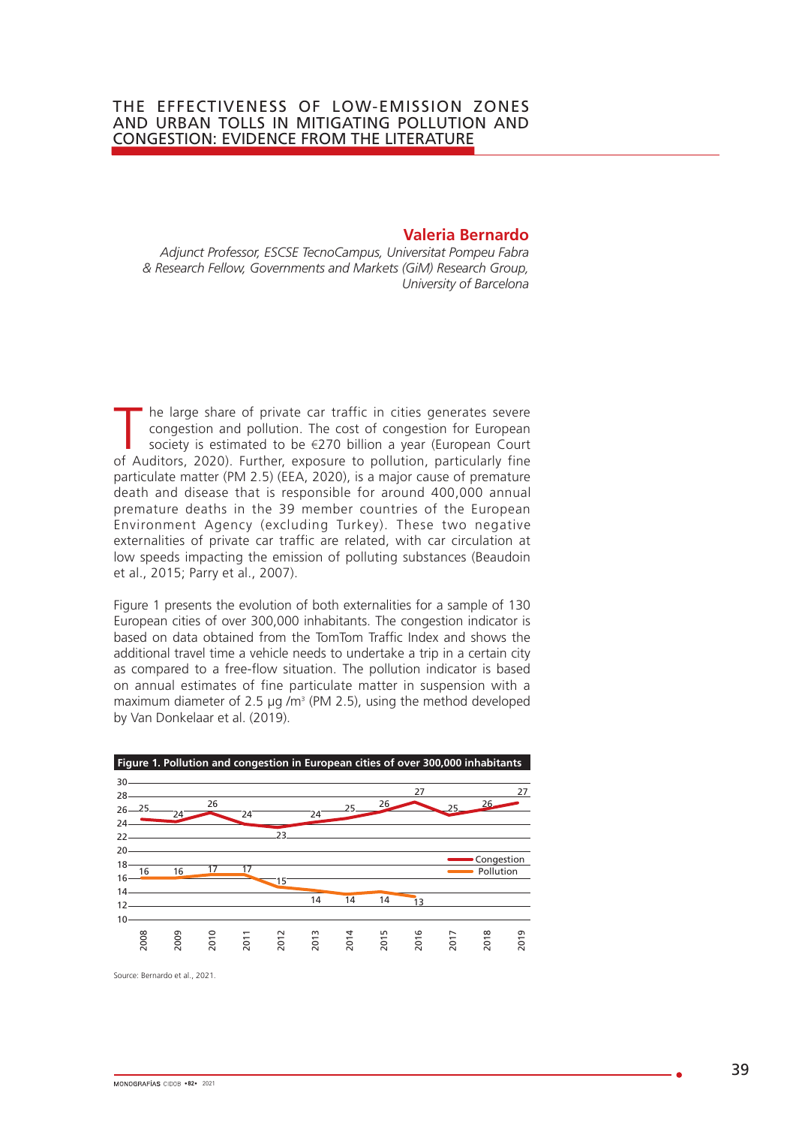## **Valeria Bernardo**

*Adjunct Professor, ESCSE TecnoCampus, Universitat Pompeu Fabra & Research Fellow, Governments and Markets (GiM) Research Group, University of Barcelona*

The large share of private car traffic in cities generates severe<br>
society is estimated to be  $\epsilon$ 270 billion a year (European Court<br>
of Auditors 2020), Eurthor exposure to pollution particularly fine congestion and pollution. The cost of congestion for European of Auditors, 2020). Further, exposure to pollution, particularly fine particulate matter (PM 2.5) (EEA, 2020), is a major cause of premature death and disease that is responsible for around 400,000 annual premature deaths in the 39 member countries of the European Environment Agency (excluding Turkey). These two negative externalities of private car traffic are related, with car circulation at low speeds impacting the emission of polluting substances (Beaudoin et al., 2015; Parry et al., 2007).

Figure 1 presents the evolution of both externalities for a sample of 130 European cities of over 300,000 inhabitants. The congestion indicator is based on data obtained from the TomTom Traffic Index and shows the additional travel time a vehicle needs to undertake a trip in a certain city as compared to a free-flow situation. The pollution indicator is based on annual estimates of fine particulate matter in suspension with a maximum diameter of 2.5  $\mu$ g /m<sup>3</sup> (PM 2.5), using the method developed by Van Donkelaar et al. (2019).



Source: Bernardo et al., 2021.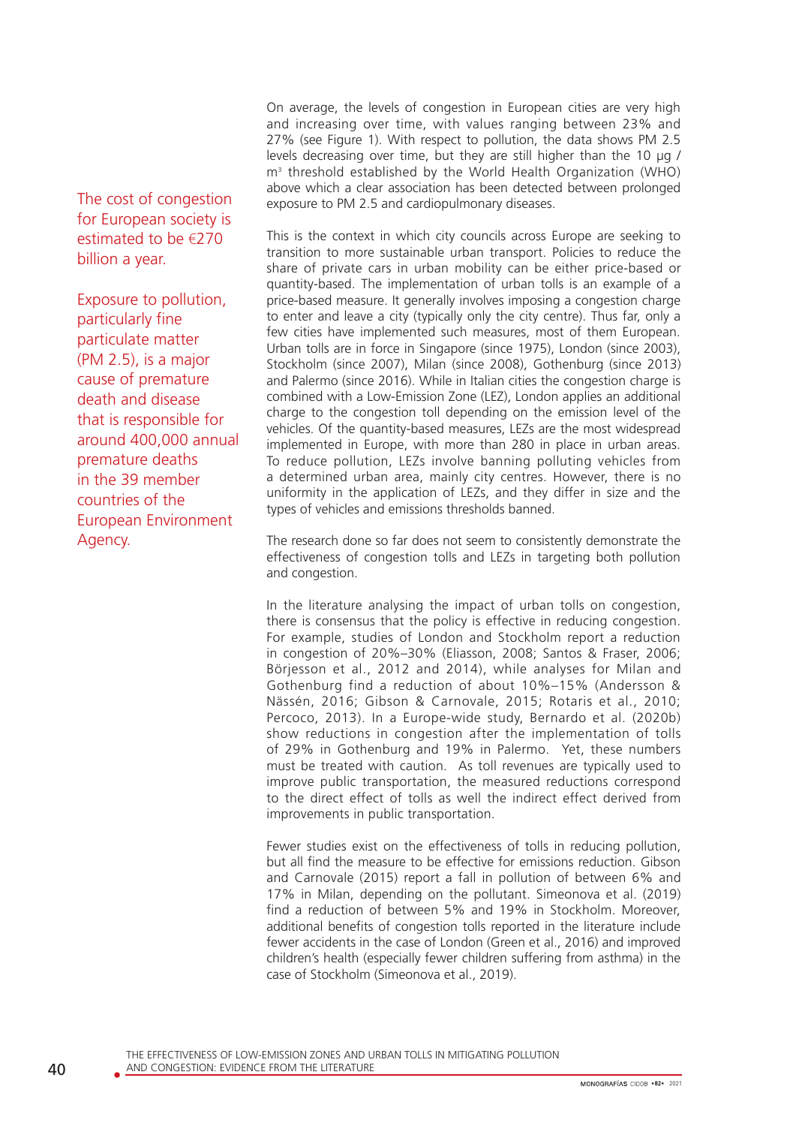The cost of congestion for European society is estimated to be €270 billion a year.

Exposure to pollution, particularly fine particulate matter (PM 2.5), is a major cause of premature death and disease that is responsible for around 400,000 annual premature deaths in the 39 member countries of the European Environment Agency.

On average, the levels of congestion in European cities are very high and increasing over time, with values ranging between 23% and 27% (see Figure 1). With respect to pollution, the data shows PM 2.5 levels decreasing over time, but they are still higher than the 10 μg / m3 threshold established by the World Health Organization (WHO) above which a clear association has been detected between prolonged exposure to PM 2.5 and cardiopulmonary diseases.

This is the context in which city councils across Europe are seeking to transition to more sustainable urban transport. Policies to reduce the share of private cars in urban mobility can be either price-based or quantity-based. The implementation of urban tolls is an example of a price-based measure. It generally involves imposing a congestion charge to enter and leave a city (typically only the city centre). Thus far, only a few cities have implemented such measures, most of them European. Urban tolls are in force in Singapore (since 1975), London (since 2003), Stockholm (since 2007), Milan (since 2008), Gothenburg (since 2013) and Palermo (since 2016). While in Italian cities the congestion charge is combined with a Low-Emission Zone (LEZ), London applies an additional charge to the congestion toll depending on the emission level of the vehicles. Of the quantity-based measures, LEZs are the most widespread implemented in Europe, with more than 280 in place in urban areas. To reduce pollution, LEZs involve banning polluting vehicles from a determined urban area, mainly city centres. However, there is no uniformity in the application of LEZs, and they differ in size and the types of vehicles and emissions thresholds banned.

The research done so far does not seem to consistently demonstrate the effectiveness of congestion tolls and LEZs in targeting both pollution and congestion.

In the literature analysing the impact of urban tolls on congestion, there is consensus that the policy is effective in reducing congestion. For example, studies of London and Stockholm report a reduction in congestion of 20%–30% (Eliasson, 2008; Santos & Fraser, 2006; Börjesson et al., 2012 and 2014), while analyses for Milan and Gothenburg find a reduction of about 10%–15% (Andersson & Nässén, 2016; Gibson & Carnovale, 2015; Rotaris et al., 2010; Percoco, 2013). In a Europe-wide study, Bernardo et al. (2020b) show reductions in congestion after the implementation of tolls of 29% in Gothenburg and 19% in Palermo. Yet, these numbers must be treated with caution. As toll revenues are typically used to improve public transportation, the measured reductions correspond to the direct effect of tolls as well the indirect effect derived from improvements in public transportation.

Fewer studies exist on the effectiveness of tolls in reducing pollution, but all find the measure to be effective for emissions reduction. Gibson and Carnovale (2015) report a fall in pollution of between 6% and 17% in Milan, depending on the pollutant. Simeonova et al. (2019) find a reduction of between 5% and 19% in Stockholm. Moreover, additional benefits of congestion tolls reported in the literature include fewer accidents in the case of London (Green et al., 2016) and improved children's health (especially fewer children suffering from asthma) in the case of Stockholm (Simeonova et al., 2019).

THE EFFECTIVENESS OF LOW-EMISSION ZONES AND URBAN TOLLS IN MITIGATING POLLUTION 40 AND CONGESTION: EVIDENCE FROM THE LITERATURE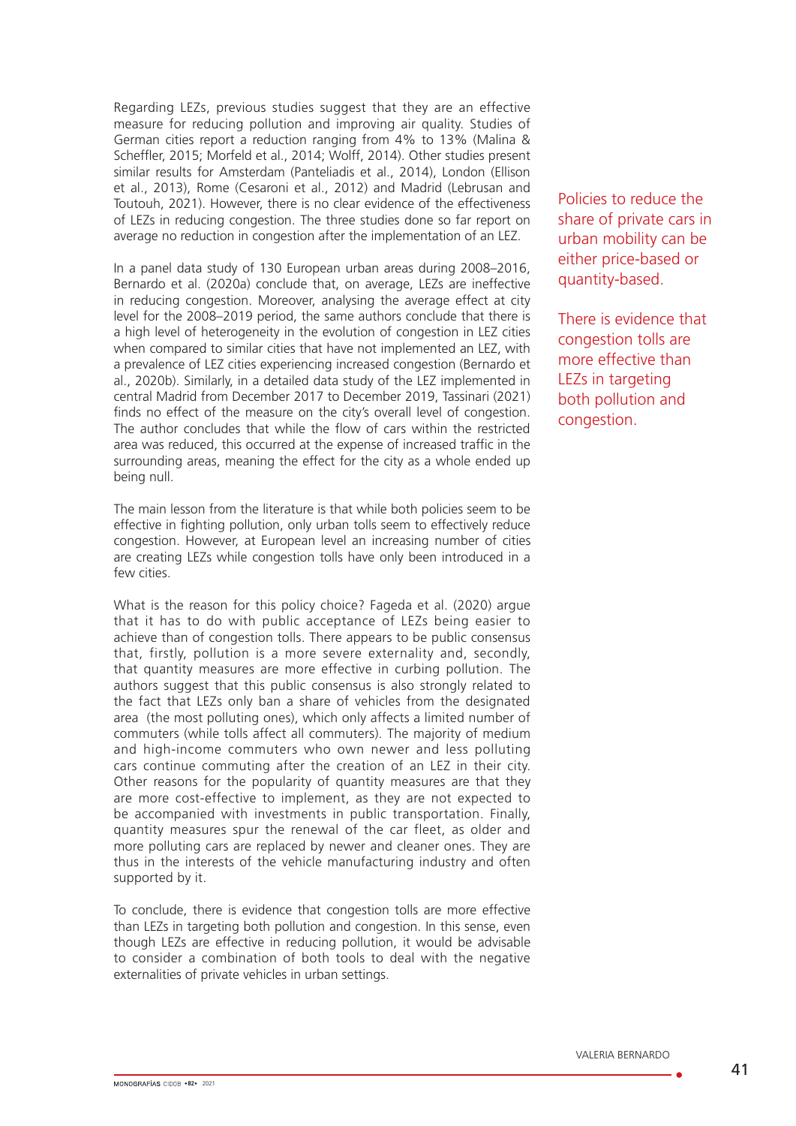Regarding LEZs, previous studies suggest that they are an effective measure for reducing pollution and improving air quality. Studies of German cities report a reduction ranging from 4% to 13% (Malina & Scheffler, 2015; Morfeld et al., 2014; Wolff, 2014). Other studies present similar results for Amsterdam (Panteliadis et al., 2014), London (Ellison et al., 2013), Rome (Cesaroni et al., 2012) and Madrid (Lebrusan and Toutouh, 2021). However, there is no clear evidence of the effectiveness of LEZs in reducing congestion. The three studies done so far report on average no reduction in congestion after the implementation of an LEZ.

In a panel data study of 130 European urban areas during 2008–2016, Bernardo et al. (2020a) conclude that, on average, LEZs are ineffective in reducing congestion. Moreover, analysing the average effect at city level for the 2008–2019 period, the same authors conclude that there is a high level of heterogeneity in the evolution of congestion in LEZ cities when compared to similar cities that have not implemented an LEZ, with a prevalence of LEZ cities experiencing increased congestion (Bernardo et al., 2020b). Similarly, in a detailed data study of the LEZ implemented in central Madrid from December 2017 to December 2019, Tassinari (2021) finds no effect of the measure on the city's overall level of congestion. The author concludes that while the flow of cars within the restricted area was reduced, this occurred at the expense of increased traffic in the surrounding areas, meaning the effect for the city as a whole ended up being null.

The main lesson from the literature is that while both policies seem to be effective in fighting pollution, only urban tolls seem to effectively reduce congestion. However, at European level an increasing number of cities are creating LEZs while congestion tolls have only been introduced in a few cities.

What is the reason for this policy choice? Fageda et al. (2020) argue that it has to do with public acceptance of LEZs being easier to achieve than of congestion tolls. There appears to be public consensus that, firstly, pollution is a more severe externality and, secondly, that quantity measures are more effective in curbing pollution. The authors suggest that this public consensus is also strongly related to the fact that LEZs only ban a share of vehicles from the designated area (the most polluting ones), which only affects a limited number of commuters (while tolls affect all commuters). The majority of medium and high-income commuters who own newer and less polluting cars continue commuting after the creation of an LEZ in their city. Other reasons for the popularity of quantity measures are that they are more cost-effective to implement, as they are not expected to be accompanied with investments in public transportation. Finally, quantity measures spur the renewal of the car fleet, as older and more polluting cars are replaced by newer and cleaner ones. They are thus in the interests of the vehicle manufacturing industry and often supported by it.

To conclude, there is evidence that congestion tolls are more effective than LEZs in targeting both pollution and congestion. In this sense, even though LEZs are effective in reducing pollution, it would be advisable to consider a combination of both tools to deal with the negative externalities of private vehicles in urban settings.

Policies to reduce the share of private cars in urban mobility can be either price-based or quantity-based.

There is evidence that congestion tolls are more effective than LEZ<sub>s</sub> in targeting both pollution and congestion.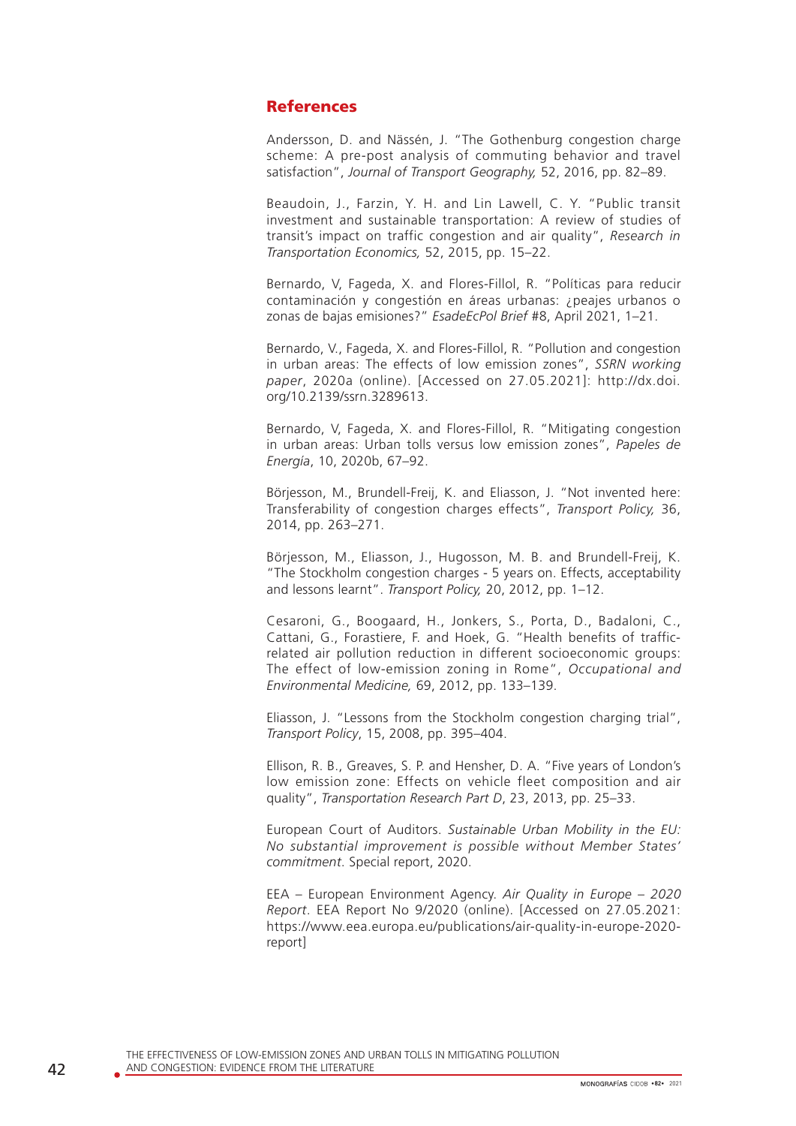## **References**

Andersson, D. and Nässén, J. "The Gothenburg congestion charge scheme: A pre-post analysis of commuting behavior and travel satisfaction", *Journal of Transport Geography,* 52, 2016, pp. 82–89.

Beaudoin, J., Farzin, Y. H. and Lin Lawell, C. Y. "Public transit investment and sustainable transportation: A review of studies of transit's impact on traffic congestion and air quality", *Research in Transportation Economics,* 52, 2015, pp. 15–22.

Bernardo, V, Fageda, X. and Flores-Fillol, R. "Políticas para reducir contaminación y congestión en áreas urbanas: ¿peajes urbanos o zonas de bajas emisiones?" *EsadeEcPol Brief* #8, April 2021, 1–21.

Bernardo, V., Fageda, X. and Flores-Fillol, R. "Pollution and congestion in urban areas: The effects of low emission zones", *SSRN working paper*, 2020a (online). [Accessed on 27.05.2021]: http://dx.doi. org/10.2139/ssrn.3289613.

Bernardo, V, Fageda, X. and Flores-Fillol, R. "Mitigating congestion in urban areas: Urban tolls versus low emission zones", *Papeles de Energía*, 10, 2020b, 67–92.

Börjesson, M., Brundell-Freij, K. and Eliasson, J. "Not invented here: Transferability of congestion charges effects", *Transport Policy,* 36, 2014, pp. 263–271.

Börjesson, M., Eliasson, J., Hugosson, M. B. and Brundell-Freij, K. "The Stockholm congestion charges - 5 years on. Effects, acceptability and lessons learnt". *Transport Policy,* 20, 2012, pp. 1–12.

Cesaroni, G., Boogaard, H., Jonkers, S., Porta, D., Badaloni, C., Cattani, G., Forastiere, F. and Hoek, G. "Health benefits of trafficrelated air pollution reduction in different socioeconomic groups: The effect of low-emission zoning in Rome", *Occupational and Environmental Medicine,* 69, 2012, pp. 133–139.

Eliasson, J. "Lessons from the Stockholm congestion charging trial", *Transport Policy*, 15, 2008, pp. 395–404.

Ellison, R. B., Greaves, S. P. and Hensher, D. A. "Five years of London's low emission zone: Effects on vehicle fleet composition and air quality", *Transportation Research Part D*, 23, 2013, pp. 25–33.

European Court of Auditors. *Sustainable Urban Mobility in the EU: No substantial improvement is possible without Member States' commitment*. Special report, 2020.

EEA – European Environment Agency. *Air Quality in Europe – 2020 Report*. EEA Report No 9/2020 (online). [Accessed on 27.05.2021: https://www.eea.europa.eu/publications/air-quality-in-europe-2020 report]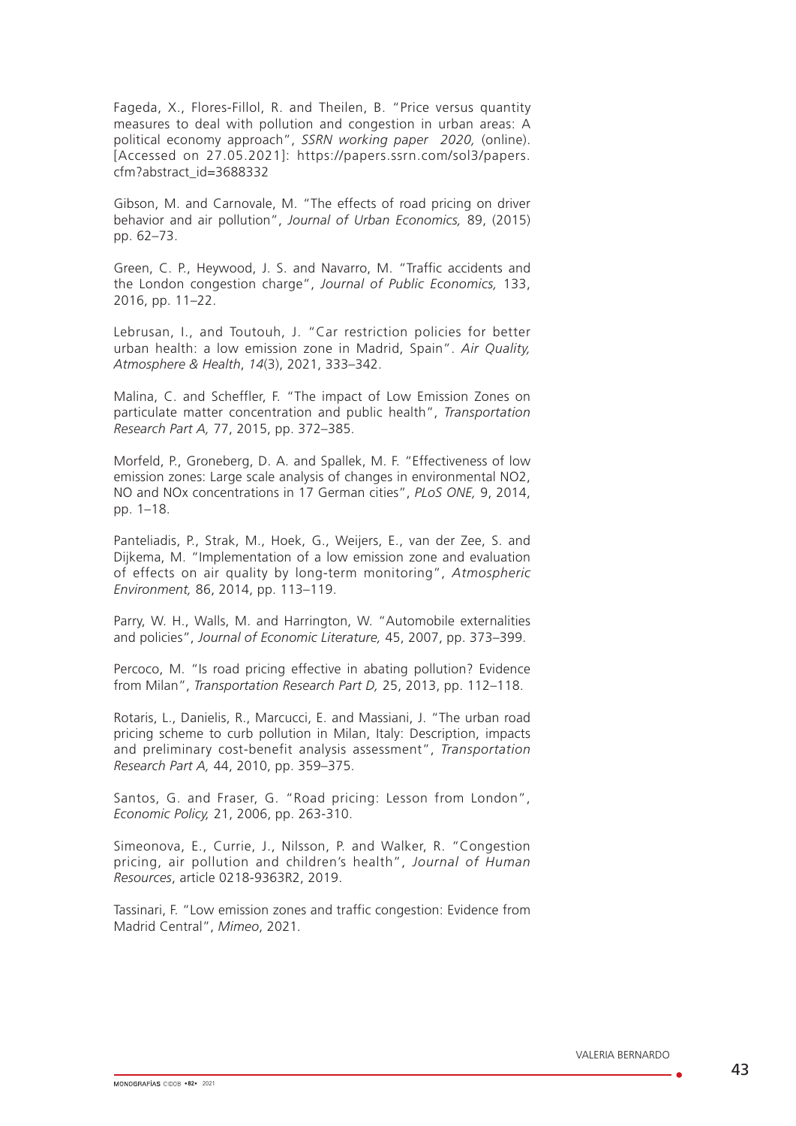Fageda, X., Flores-Fillol, R. and Theilen, B. "Price versus quantity measures to deal with pollution and congestion in urban areas: A political economy approach", *SSRN working paper 2020,* (online). [Accessed on 27.05.2021]: https://papers.ssrn.com/sol3/papers. cfm?abstract\_id=3688332

Gibson, M. and Carnovale, M. "The effects of road pricing on driver behavior and air pollution", *Journal of Urban Economics,* 89, (2015) pp. 62–73.

Green, C. P., Heywood, J. S. and Navarro, M. "Traffic accidents and the London congestion charge", *Journal of Public Economics,* 133, 2016, pp. 11–22.

Lebrusan, I., and Toutouh, J. "Car restriction policies for better urban health: a low emission zone in Madrid, Spain". *Air Quality, Atmosphere & Health*, *14*(3), 2021, 333–342.

Malina, C. and Scheffler, F. "The impact of Low Emission Zones on particulate matter concentration and public health", *Transportation Research Part A,* 77, 2015, pp. 372–385.

Morfeld, P., Groneberg, D. A. and Spallek, M. F. "Effectiveness of low emission zones: Large scale analysis of changes in environmental NO2, NO and NOx concentrations in 17 German cities", *PLoS ONE,* 9, 2014, pp. 1–18.

Panteliadis, P., Strak, M., Hoek, G., Weijers, E., van der Zee, S. and Dijkema, M. "Implementation of a low emission zone and evaluation of effects on air quality by long-term monitoring", *Atmospheric Environment,* 86, 2014, pp. 113–119.

Parry, W. H., Walls, M. and Harrington, W. "Automobile externalities and policies", *Journal of Economic Literature,* 45, 2007, pp. 373–399.

Percoco, M. "Is road pricing effective in abating pollution? Evidence from Milan", *Transportation Research Part D,* 25, 2013, pp. 112–118.

Rotaris, L., Danielis, R., Marcucci, E. and Massiani, J. "The urban road pricing scheme to curb pollution in Milan, Italy: Description, impacts and preliminary cost-benefit analysis assessment", *Transportation Research Part A,* 44, 2010, pp. 359–375.

Santos, G. and Fraser, G. "Road pricing: Lesson from London", *Economic Policy,* 21, 2006, pp. 263-310.

Simeonova, E., Currie, J., Nilsson, P. and Walker, R. "Congestion pricing, air pollution and children's health", *Journal of Human Resources*, article 0218-9363R2, 2019.

Tassinari, F. "Low emission zones and traffic congestion: Evidence from Madrid Central", *Mimeo*, 2021*.*